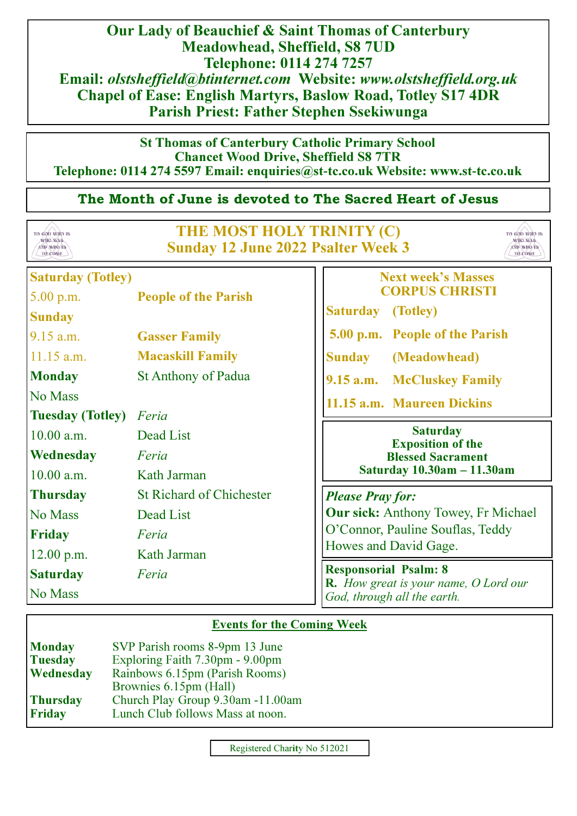Our Lady of Beauchief & Saint Thomas of Canterbury Meadowhead, Sheffield, S8 7UD Telephone: 0114 274 7257 Email: olstsheffield@btinternet.com Website: www.olstsheffield.org.uk Chapel of Ease: English Martyrs, Baslow Road, Totley S17 4DR Parish Priest: Father Stephen Ssekiwunga

## St Thomas of Canterbury Catholic Primary School Chancet Wood Drive, Sheffield S8 7TR Telephone: 0114 274 5597 Email: enquiries@st**-**tc.co.uk Website: www.st**-**tc.co.uk

# The Month of June is devoted to The Sacred Heart of Jesus



# Events for the Coming Week

| <b>Monday</b>   | SVP Parish rooms 8-9pm 13 June    |  |
|-----------------|-----------------------------------|--|
| <b>Tuesday</b>  | Exploring Faith 7.30pm - 9.00pm   |  |
| Wednesday       | Rainbows 6.15pm (Parish Rooms)    |  |
|                 | Brownies 6.15pm (Hall)            |  |
| <b>Thursday</b> | Church Play Group 9.30am -11.00am |  |
| <b>Friday</b>   | Lunch Club follows Mass at noon.  |  |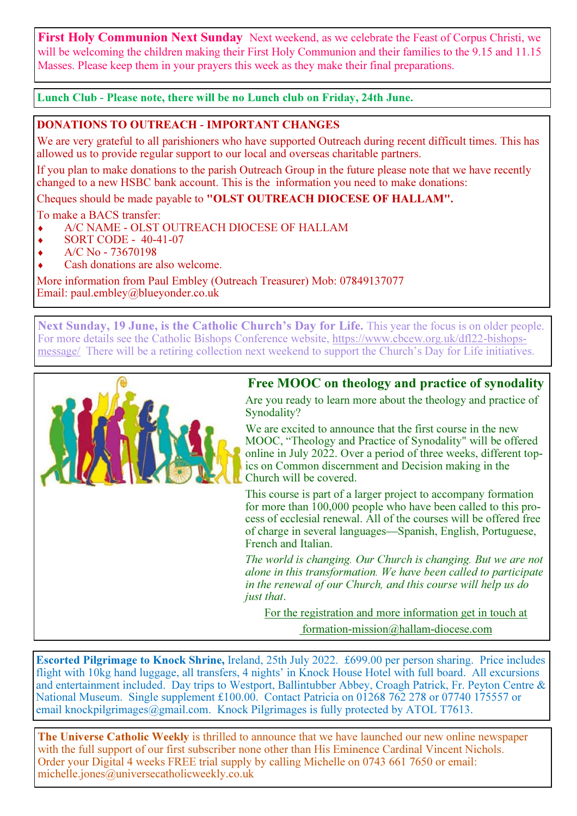**First Holy Communion Next Sunday** Next weekend, as we celebrate the Feast of Corpus Christi, we will be welcoming the children making their First Holy Communion and their families to the 9.15 and 11.15 Masses. Please keep them in your prayers this week as they make their final preparations.

Lunch Club **-** Please note, there will be no Lunch club on Friday, 24th June.

## DONATIONS TO OUTREACH **-** IMPORTANT CHANGES

We are very grateful to all parishioners who have supported Outreach during recent difficult times. This has allowed us to provide regular support to our local and overseas charitable partners.

If you plan to make donations to the parish Outreach Group in the future please note that we have recently changed to a new HSBC bank account. This is the information you need to make donations:

Cheques should be made payable to "OLST OUTREACH DIOCESE OF HALLAM".

To make a BACS transfer:

- A/C NAME OLST OUTREACH DIOCESE OF HALLAM
- SORT CODE 40-41-07
- A/C No 73670198
- Cash donations are also welcome.

More information from Paul Embley (Outreach Treasurer) Mob: 07849137077 Email: paul.embley@blueyonder.co.uk

Next Sunday, 19 June, is the Catholic Church's Day for Life. This year the focus is on older people. For more details see the Catholic Bishops Conference website, https://www.cbcew.org.uk/dfl22-bishopsmessage/ There will be a retiring collection next weekend to support the Church's Day for Life initiatives.

# Free MOOC on theology and practice of synodality



Are you ready to learn more about the theology and practice of Synodality?

We are excited to announce that the first course in the new MOOC, "Theology and Practice of Synodality" will be offered online in July 2022. Over a period of three weeks, different topics on Common discernment and Decision making in the Church will be covered.

This course is part of a larger project to accompany formation for more than 100,000 people who have been called to this process of ecclesial renewal. All of the courses will be offered free of charge in several languages—Spanish, English, Portuguese, French and Italian.

The world is changing. Our Church is changing. But we are not alone in this transformation. We have been called to participate in the renewal of our Church, and this course will help us do just that.

For the registration and more information get in touch at formation-mission@hallam-diocese.com

Escorted Pilgrimage to Knock Shrine, Ireland, 25th July 2022. £699.00 per person sharing. Price includes flight with 10kg hand luggage, all transfers, 4 nights' in Knock House Hotel with full board. All excursions and entertainment included. Day trips to Westport, Ballintubber Abbey, Croagh Patrick, Fr. Peyton Centre & National Museum. Single supplement £100.00. Contact Patricia on 01268 762 278 or 07740 175557 or email knockpilgrimages@gmail.com. Knock Pilgrimages is fully protected by ATOL T7613.

The Universe Catholic Weekly is thrilled to announce that we have launched our new online newspaper with the full support of our first subscriber none other than His Eminence Cardinal Vincent Nichols. Order your Digital 4 weeks FREE trial supply by calling Michelle on 0743 661 7650 or email: michelle.jones@universecatholicweekly.co.uk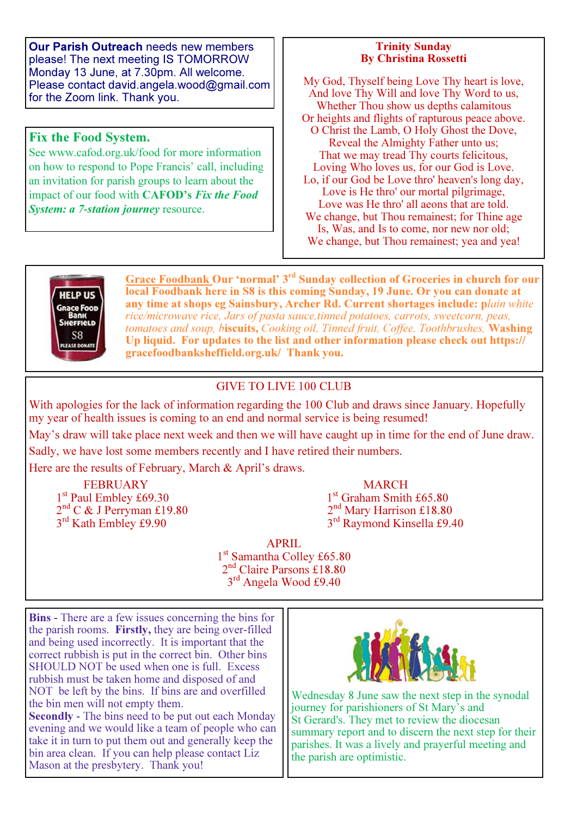Our Parish Outreach needs new members please! The next meeting IS TOMORROW Monday 13 June, at 7.30pm. All welcome. Please contact david.angela.wood@gmail.com for the Zoom link. Thank you.

## Fix the Food System.

See www.cafod.org.uk/food for more information on how to respond to Pope Francis' call, including an invitation for parish groups to learn about the impact of our food with CAFOD's Fix the Food **System: a 7-station journey resource.** 

#### Trinity Sunday By Christina Rossetti

My God, Thyself being Love Thy heart is love, And love Thy Will and love Thy Word to us, Whether Thou show us depths calamitous Or heights and flights of rapturous peace above. O Christ the Lamb, O Holy Ghost the Dove, Reveal the Almighty Father unto us; That we may tread Thy courts felicitous, Loving Who loves us, for our God is Love. Lo, if our God be Love thro' heaven's long day, Love is He thro' our mortal pilgrimage, Love was He thro' all aeons that are told. We change, but Thou remainest; for Thine age Is, Was, and Is to come, nor new nor old;

We change, but Thou remainest; yea and yea!



Grace Foodbank Our 'normal' 3rd Sunday collection of Groceries in church for our local Foodbank here in S8 is this coming Sunday, 19 June. Or you can donate at any time at shops eg Sainsbury, Archer Rd. Current shortages include: plain white rice/microwave rice, Jars of pasta sauce,tinned potatoes, carrots, sweetcorn, peas, tomatoes and soup, biscuits, Cooking oil, Tinned fruit, Coffee, Toothbrushes, Washing Up liquid. For updates to the list and other information please check out https:// gracefoodbanksheffield.org.uk/ Thank you.

## GIVE TO LIVE 100 CLUB

With apologies for the lack of information regarding the 100 Club and draws since January. Hopefully my year of health issues is coming to an end and normal service is being resumed!

May's draw will take place next week and then we will have caught up in time for the end of June draw. Sadly, we have lost some members recently and I have retired their numbers.

Here are the results of February, March & April's draws.

 $1<sup>st</sup>$  Paul Embley £69.30 1st Graham Smith £65.80  $2<sup>nd</sup>$  C & J Perryman £19.80  $2<sup>nd</sup>$  Mary Harrison £18.80 3<sup>rd</sup> Kath Embley £9.90

FEBRUARY MARCH<br>
ul Embley £69.30 1<sup>st</sup> Graham Smith £65.80  $2<sup>nd</sup>$  Mary Harrison £18.80<br> $3<sup>rd</sup>$  Raymond Kinsella £9.40

> APRIL 1<sup>st</sup> Samantha Colley £65.80 2 nd Claire Parsons £18.80 3 rd Angela Wood £9.40

Bins **-** There are a few issues concerning the bins for the parish rooms. Firstly, they are being over-filled and being used incorrectly. It is important that the correct rubbish is put in the correct bin. Other bins SHOULD NOT be used when one is full. Excess rubbish must be taken home and disposed of and NOT be left by the bins. If bins are and overfilled the bin men will not empty them. Secondly **-** The bins need to be put out each Monday

evening and we would like a team of people who can take it in turn to put them out and generally keep the bin area clean. If you can help please contact Liz Mason at the presbytery. Thank you!



Wednesday 8 June saw the next step in the synodal journey for parishioners of St Mary's and St Gerard's. They met to review the diocesan summary report and to discern the next step for their parishes. It was a lively and prayerful meeting and the parish are optimistic.